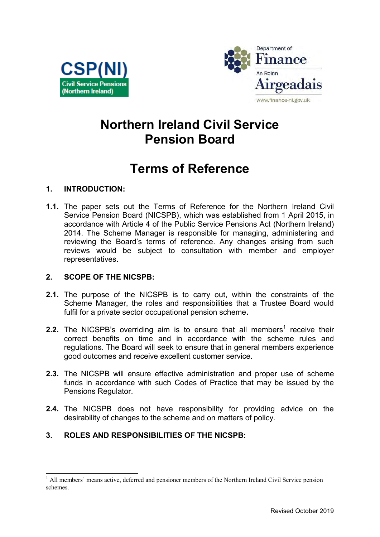



# **Northern Ireland Civil Service Pension Board**

# **Terms of Reference**

## **1. INTRODUCTION:**

**1.1.** The paper sets out the Terms of Reference for the Northern Ireland Civil Service Pension Board (NICSPB), which was established from 1 April 2015, in accordance with Article 4 of the Public Service Pensions Act (Northern Ireland) 2014. The Scheme Manager is responsible for managing, administering and reviewing the Board's terms of reference. Any changes arising from such reviews would be subject to consultation with member and employer representatives.

### **2. SCOPE OF THE NICSPB:**

- **2.1.** The purpose of the NICSPB is to carry out, within the constraints of the Scheme Manager, the roles and responsibilities that a Trustee Board would fulfil for a private sector occupational pension scheme**.**
- **2.2.** The NICSPB's overriding aim is to ensure that all members<sup>1</sup> receive their correct benefits on time and in accordance with the scheme rules and regulations. The Board will seek to ensure that in general members experience good outcomes and receive excellent customer service.
- **2.3.** The NICSPB will ensure effective administration and proper use of scheme funds in accordance with such Codes of Practice that may be issued by the Pensions Regulator.
- **2.4.** The NICSPB does not have responsibility for providing advice on the desirability of changes to the scheme and on matters of policy.

# **3. ROLES AND RESPONSIBILITIES OF THE NICSPB:**

<sup>-</sup><sup>1</sup> All members' means active, deferred and pensioner members of the Northern Ireland Civil Service pension schemes.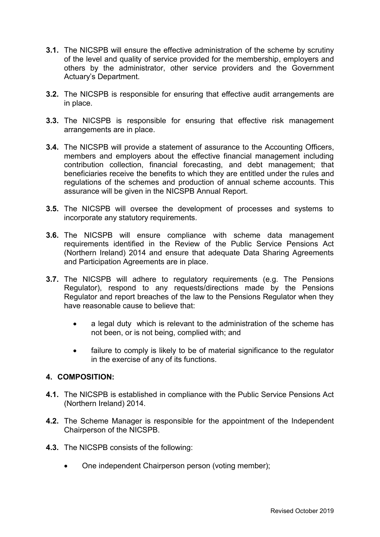- **3.1.** The NICSPB will ensure the effective administration of the scheme by scrutiny of the level and quality of service provided for the membership, employers and others by the administrator, other service providers and the Government Actuary's Department.
- **3.2.** The NICSPB is responsible for ensuring that effective audit arrangements are in place.
- **3.3.** The NICSPB is responsible for ensuring that effective risk management arrangements are in place.
- **3.4.** The NICSPB will provide a statement of assurance to the Accounting Officers, members and employers about the effective financial management including contribution collection, financial forecasting, and debt management; that beneficiaries receive the benefits to which they are entitled under the rules and regulations of the schemes and production of annual scheme accounts. This assurance will be given in the NICSPB Annual Report.
- **3.5.** The NICSPB will oversee the development of processes and systems to incorporate any statutory requirements.
- **3.6.** The NICSPB will ensure compliance with scheme data management requirements identified in the Review of the Public Service Pensions Act (Northern Ireland) 2014 and ensure that adequate Data Sharing Agreements and Participation Agreements are in place.
- **3.7.** The NICSPB will adhere to regulatory requirements (e.g. The Pensions Regulator), respond to any requests/directions made by the Pensions Regulator and report breaches of the law to the Pensions Regulator when they have reasonable cause to believe that:
	- a legal duty which is relevant to the administration of the scheme has not been, or is not being, complied with; and
	- failure to comply is likely to be of material significance to the regulator in the exercise of any of its functions.

#### **4. COMPOSITION:**

- **4.1.** The NICSPB is established in compliance with the Public Service Pensions Act (Northern Ireland) 2014.
- **4.2.** The Scheme Manager is responsible for the appointment of the Independent Chairperson of the NICSPB.
- **4.3.** The NICSPB consists of the following:
	- One independent Chairperson person (voting member);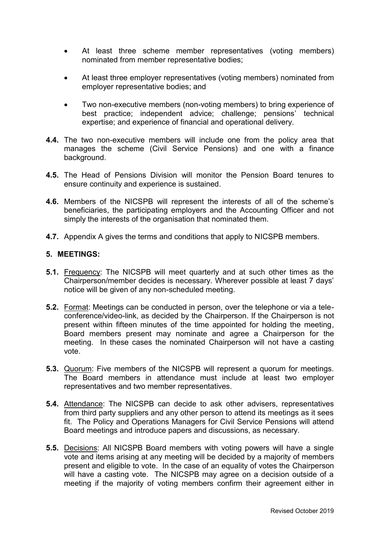- At least three scheme member representatives (voting members) nominated from member representative bodies;
- At least three employer representatives (voting members) nominated from employer representative bodies; and
- Two non-executive members (non-voting members) to bring experience of best practice; independent advice; challenge; pensions' technical expertise; and experience of financial and operational delivery.
- **4.4.** The two non-executive members will include one from the policy area that manages the scheme (Civil Service Pensions) and one with a finance background.
- **4.5.** The Head of Pensions Division will monitor the Pension Board tenures to ensure continuity and experience is sustained.
- **4.6.** Members of the NICSPB will represent the interests of all of the scheme's beneficiaries, the participating employers and the Accounting Officer and not simply the interests of the organisation that nominated them.
- **4.7.** Appendix A gives the terms and conditions that apply to NICSPB members.

#### **5. MEETINGS:**

- **5.1.** Frequency: The NICSPB will meet quarterly and at such other times as the Chairperson/member decides is necessary. Wherever possible at least 7 days' notice will be given of any non-scheduled meeting.
- **5.2.** Format: Meetings can be conducted in person, over the telephone or via a teleconference/video-link, as decided by the Chairperson. If the Chairperson is not present within fifteen minutes of the time appointed for holding the meeting, Board members present may nominate and agree a Chairperson for the meeting. In these cases the nominated Chairperson will not have a casting vote.
- **5.3.** Quorum: Five members of the NICSPB will represent a quorum for meetings. The Board members in attendance must include at least two employer representatives and two member representatives.
- **5.4.** Attendance: The NICSPB can decide to ask other advisers, representatives from third party suppliers and any other person to attend its meetings as it sees fit. The Policy and Operations Managers for Civil Service Pensions will attend Board meetings and introduce papers and discussions, as necessary.
- **5.5.** Decisions: All NICSPB Board members with voting powers will have a single vote and items arising at any meeting will be decided by a majority of members present and eligible to vote. In the case of an equality of votes the Chairperson will have a casting vote. The NICSPB may agree on a decision outside of a meeting if the majority of voting members confirm their agreement either in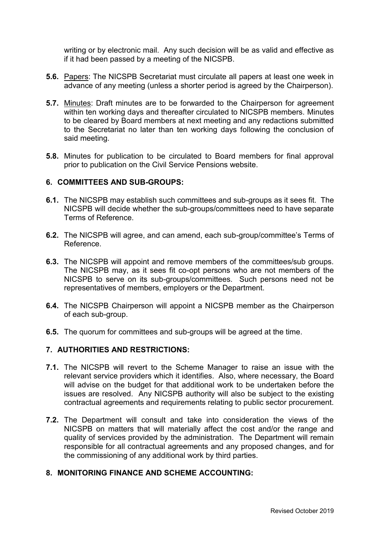writing or by electronic mail. Any such decision will be as valid and effective as if it had been passed by a meeting of the NICSPB.

- **5.6.** Papers: The NICSPB Secretariat must circulate all papers at least one week in advance of any meeting (unless a shorter period is agreed by the Chairperson).
- **5.7.** Minutes: Draft minutes are to be forwarded to the Chairperson for agreement within ten working days and thereafter circulated to NICSPB members. Minutes to be cleared by Board members at next meeting and any redactions submitted to the Secretariat no later than ten working days following the conclusion of said meeting.
- **5.8.** Minutes for publication to be circulated to Board members for final approval prior to publication on the Civil Service Pensions website.

#### **6. COMMITTEES AND SUB-GROUPS:**

- **6.1.** The NICSPB may establish such committees and sub-groups as it sees fit. The NICSPB will decide whether the sub-groups/committees need to have separate Terms of Reference.
- **6.2.** The NICSPB will agree, and can amend, each sub-group/committee's Terms of Reference.
- **6.3.** The NICSPB will appoint and remove members of the committees/sub groups. The NICSPB may, as it sees fit co-opt persons who are not members of the NICSPB to serve on its sub-groups/committees. Such persons need not be representatives of members, employers or the Department.
- **6.4.** The NICSPB Chairperson will appoint a NICSPB member as the Chairperson of each sub-group.
- **6.5.** The quorum for committees and sub-groups will be agreed at the time.

#### **7. AUTHORITIES AND RESTRICTIONS:**

- **7.1.** The NICSPB will revert to the Scheme Manager to raise an issue with the relevant service providers which it identifies. Also, where necessary, the Board will advise on the budget for that additional work to be undertaken before the issues are resolved. Any NICSPB authority will also be subject to the existing contractual agreements and requirements relating to public sector procurement.
- **7.2.** The Department will consult and take into consideration the views of the NICSPB on matters that will materially affect the cost and/or the range and quality of services provided by the administration. The Department will remain responsible for all contractual agreements and any proposed changes, and for the commissioning of any additional work by third parties.

### **8. MONITORING FINANCE AND SCHEME ACCOUNTING:**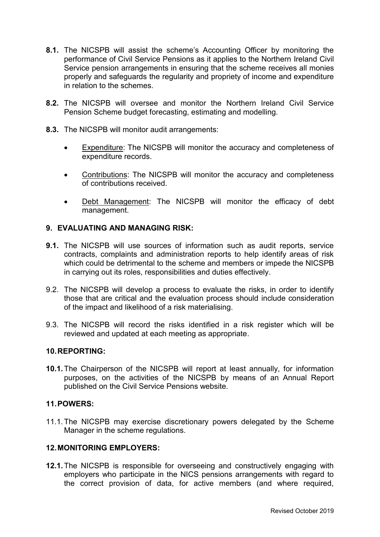- **8.1.** The NICSPB will assist the scheme's Accounting Officer by monitoring the performance of Civil Service Pensions as it applies to the Northern Ireland Civil Service pension arrangements in ensuring that the scheme receives all monies properly and safeguards the regularity and propriety of income and expenditure in relation to the schemes.
- **8.2.** The NICSPB will oversee and monitor the Northern Ireland Civil Service Pension Scheme budget forecasting, estimating and modelling.
- **8.3.** The NICSPB will monitor audit arrangements:
	- Expenditure: The NICSPB will monitor the accuracy and completeness of expenditure records.
	- Contributions: The NICSPB will monitor the accuracy and completeness of contributions received.
	- Debt Management: The NICSPB will monitor the efficacy of debt management.

#### **9. EVALUATING AND MANAGING RISK:**

- **9.1.** The NICSPB will use sources of information such as audit reports, service contracts, complaints and administration reports to help identify areas of risk which could be detrimental to the scheme and members or impede the NICSPB in carrying out its roles, responsibilities and duties effectively.
- 9.2. The NICSPB will develop a process to evaluate the risks, in order to identify those that are critical and the evaluation process should include consideration of the impact and likelihood of a risk materialising.
- 9.3. The NICSPB will record the risks identified in a risk register which will be reviewed and updated at each meeting as appropriate.

#### **10. REPORTING:**

**10.1.** The Chairperson of the NICSPB will report at least annually, for information purposes, on the activities of the NICSPB by means of an Annual Report published on the Civil Service Pensions website.

#### **11. POWERS:**

11.1. The NICSPB may exercise discretionary powers delegated by the Scheme Manager in the scheme regulations.

#### **12. MONITORING EMPLOYERS:**

**12.1.** The NICSPB is responsible for overseeing and constructively engaging with employers who participate in the NICS pensions arrangements with regard to the correct provision of data, for active members (and where required,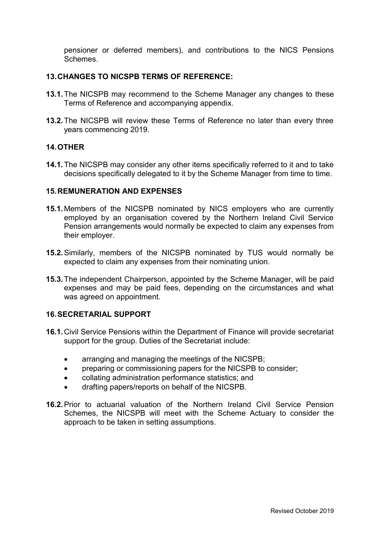pensioner or deferred members), and contributions to the NICS Pensions **Schemes** 

#### **13. CHANGES TO NICSPB TERMS OF REFERENCE:**

- **13.1.** The NICSPB may recommend to the Scheme Manager any changes to these Terms of Reference and accompanying appendix.
- **13.2.** The NICSPB will review these Terms of Reference no later than every three years commencing 2019.

#### **14. OTHER**

**14.1.** The NICSPB may consider any other items specifically referred to it and to take decisions specifically delegated to it by the Scheme Manager from time to time.

#### **15. REMUNERATION AND EXPENSES**

- **15.1.** Members of the NICSPB nominated by NICS employers who are currently employed by an organisation covered by the Northern Ireland Civil Service Pension arrangements would normally be expected to claim any expenses from their employer.
- **15.2.** Similarly, members of the NICSPB nominated by TUS would normally be expected to claim any expenses from their nominating union.
- **15.3.** The independent Chairperson, appointed by the Scheme Manager, will be paid expenses and may be paid fees, depending on the circumstances and what was agreed on appointment.

#### **16. SECRETARIAL SUPPORT**

- **16.1.** Civil Service Pensions within the Department of Finance will provide secretariat support for the group. Duties of the Secretariat include:
	- arranging and managing the meetings of the NICSPB;
	- preparing or commissioning papers for the NICSPB to consider;
	- collating administration performance statistics; and
	- drafting papers/reports on behalf of the NICSPB.
- **16.2.** Prior to actuarial valuation of the Northern Ireland Civil Service Pension Schemes, the NICSPB will meet with the Scheme Actuary to consider the approach to be taken in setting assumptions.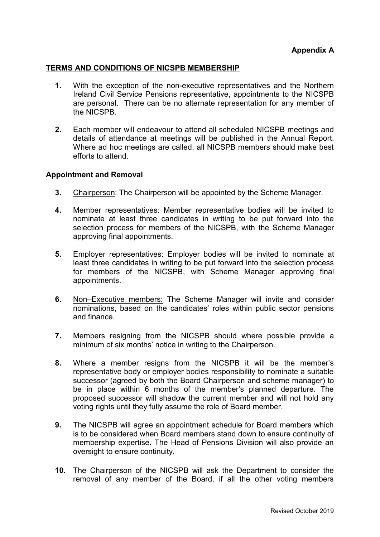#### **TERMS AND CONDITIONS OF NICSPB MEMBERSHIP**

- **1.** With the exception of the non-executive representatives and the Northern Ireland Civil Service Pensions representative, appointments to the NICSPB are personal. There can be no alternate representation for any member of the NICSPB.
- **2.** Each member will endeavour to attend all scheduled NICSPB meetings and details of attendance at meetings will be published in the Annual Report. Where ad hoc meetings are called, all NICSPB members should make best efforts to attend.

#### **Appointment and Removal**

- **3.** Chairperson: The Chairperson will be appointed by the Scheme Manager.
- **4.** Member representatives: Member representative bodies will be invited to nominate at least three candidates in writing to be put forward into the selection process for members of the NICSPB, with the Scheme Manager approving final appointments.
- **5.** Employer representatives: Employer bodies will be invited to nominate at least three candidates in writing to be put forward into the selection process for members of the NICSPB, with Scheme Manager approving final appointments.
- **6.** Non–Executive members: The Scheme Manager will invite and consider nominations, based on the candidates' roles within public sector pensions and finance.
- **7.** Members resigning from the NICSPB should where possible provide a minimum of six months' notice in writing to the Chairperson.
- **8.** Where a member resigns from the NICSPB it will be the member's representative body or employer bodies responsibility to nominate a suitable successor (agreed by both the Board Chairperson and scheme manager) to be in place within 6 months of the member's planned departure. The proposed successor will shadow the current member and will not hold any voting rights until they fully assume the role of Board member.
- **9.** The NICSPB will agree an appointment schedule for Board members which is to be considered when Board members stand down to ensure continuity of membership expertise. The Head of Pensions Division will also provide an oversight to ensure continuity.
- **10.** The Chairperson of the NICSPB will ask the Department to consider the removal of any member of the Board, if all the other voting members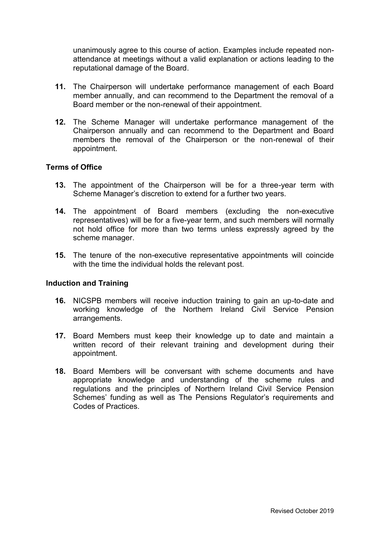unanimously agree to this course of action. Examples include repeated nonattendance at meetings without a valid explanation or actions leading to the reputational damage of the Board.

- **11.** The Chairperson will undertake performance management of each Board member annually, and can recommend to the Department the removal of a Board member or the non-renewal of their appointment.
- **12.** The Scheme Manager will undertake performance management of the Chairperson annually and can recommend to the Department and Board members the removal of the Chairperson or the non-renewal of their appointment.

#### **Terms of Office**

- **13.** The appointment of the Chairperson will be for a three-year term with Scheme Manager's discretion to extend for a further two years.
- **14.** The appointment of Board members (excluding the non-executive representatives) will be for a five-year term, and such members will normally not hold office for more than two terms unless expressly agreed by the scheme manager.
- **15.** The tenure of the non-executive representative appointments will coincide with the time the individual holds the relevant post.

#### **Induction and Training**

- **16.** NICSPB members will receive induction training to gain an up-to-date and working knowledge of the Northern Ireland Civil Service Pension arrangements.
- **17.** Board Members must keep their knowledge up to date and maintain a written record of their relevant training and development during their appointment.
- **18.** Board Members will be conversant with scheme documents and have appropriate knowledge and understanding of the scheme rules and regulations and the principles of Northern Ireland Civil Service Pension Schemes' funding as well as The Pensions Regulator's requirements and Codes of Practices.